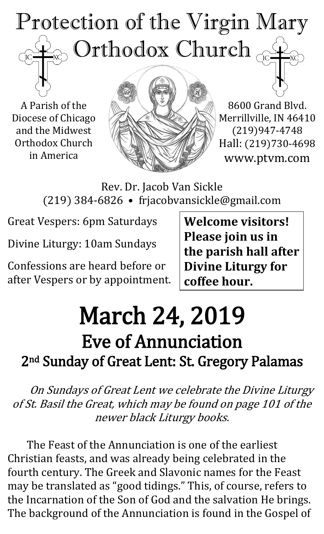## Protection of the Virgin Mary Orthodox Church  $\overline{C}$

A Parish of the Diocese of Chicago and the Midwest Orthodox Church in America



8600 Grand Blvd. Merrillville, IN 46410 (219)947-4748 Hall: (219)730-4698 www.ptvm.com

Rev. Dr. Jacob Van Sickle (219) 384-6826 • frjacobvansickle@gmail.com

Great Vespers: 6pm Saturdays

Divine Liturgy: 10am Sundays

Confessions are heard before or after Vespers or by appointment. **Welcome visitors! Please join us in the parish hall after Divine Liturgy for coffee hour.**

## March 24, 2019 Eve of Annunciation 2<sup>nd</sup> Sunday of Great Lent: St. Gregory Palamas

On Sundays of Great Lent we celebrate the Divine Liturgy of St. Basil the Great, which may be found on page 101 of the newer black Liturgy books.

The Feast of the Annunciation is one of the earliest Christian feasts, and was already being celebrated in the fourth century. The Greek and Slavonic names for the Feast may be translated as "good tidings." This, of course, refers to the Incarnation of the Son of God and the salvation He brings. The background of the Annunciation is found in the Gospel of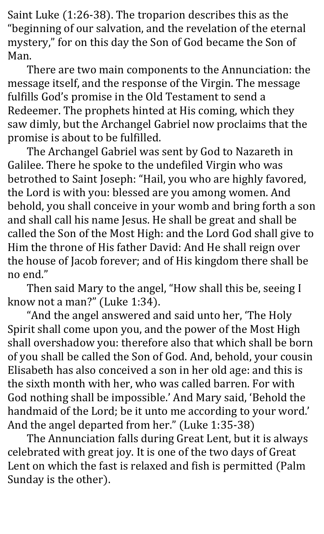Saint Luke (1:26-38). The troparion describes this as the "beginning of our salvation, and the revelation of the eternal mystery," for on this day the Son of God became the Son of Man.

There are two main components to the Annunciation: the message itself, and the response of the Virgin. The message fulfills God's promise in the Old Testament to send a Redeemer. The prophets hinted at His coming, which they saw dimly, but the Archangel Gabriel now proclaims that the promise is about to be fulfilled.

The Archangel Gabriel was sent by God to Nazareth in Galilee. There he spoke to the undefiled Virgin who was betrothed to Saint Joseph: "Hail, you who are highly favored, the Lord is with you: blessed are you among women. And behold, you shall conceive in your womb and bring forth a son and shall call his name Jesus. He shall be great and shall be called the Son of the Most High: and the Lord God shall give to Him the throne of His father David: And He shall reign over the house of Jacob forever; and of His kingdom there shall be no end."

Then said Mary to the angel, "How shall this be, seeing I know not a man?" (Luke 1:34).

"And the angel answered and said unto her, 'The Holy Spirit shall come upon you, and the power of the Most High shall overshadow you: therefore also that which shall be born of you shall be called the Son of God. And, behold, your cousin Elisabeth has also conceived a son in her old age: and this is the sixth month with her, who was called barren. For with God nothing shall be impossible.' And Mary said, 'Behold the handmaid of the Lord; be it unto me according to your word.' And the angel departed from her." (Luke 1:35-38)

The Annunciation falls during Great Lent, but it is always celebrated with great joy. It is one of the two days of Great Lent on which the fast is relaxed and fish is permitted (Palm Sunday is the other).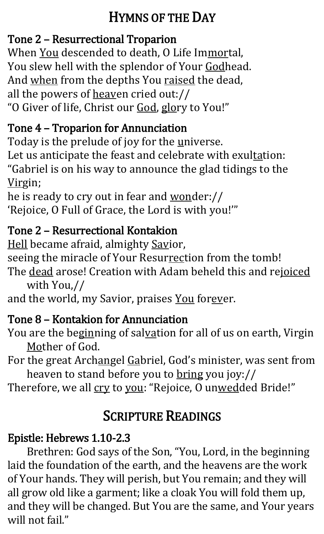#### HYMNS OF THE DAY

#### Tone 2 – Resurrectional Troparion

When You descended to death, O Life Immortal, You slew hell with the splendor of Your Godhead. And when from the depths You raised the dead, all the powers of heaven cried out:// "O Giver of life, Christ our God, glory to You!"

#### Tone 4 – Troparion for Annunciation

Today is the prelude of joy for the universe. Let us anticipate the feast and celebrate with exultation:

"Gabriel is on his way to announce the glad tidings to the Virgin;

he is ready to cry out in fear and wonder:// 'Rejoice, O Full of Grace, the Lord is with you!'"

#### Tone 2 – Resurrectional Kontakion

Hell became afraid, almighty Savior,

seeing the miracle of Your Resurrection from the tomb!

The dead arose! Creation with Adam beheld this and rejoiced with You,//

and the world, my Savior, praises You forever.

## Tone 8 – Kontakion for Annunciation

You are the beginning of salvation for all of us on earth, Virgin Mother of God.

For the great Archangel Gabriel, God's minister, was sent from heaven to stand before you to bring you joy://

Therefore, we all cry to you: "Rejoice, O unwedded Bride!"

## SCRIPTURE READINGS

## Epistle: Hebrews 1.10-2.3

Brethren: God says of the Son, "You, Lord, in the beginning laid the foundation of the earth, and the heavens are the work of Your hands. They will perish, but You remain; and they will all grow old like a garment; like a cloak You will fold them up, and they will be changed. But You are the same, and Your years will not fail."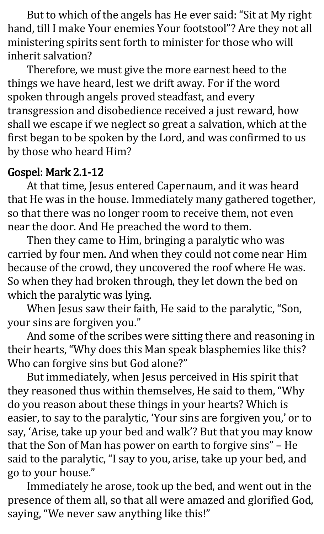But to which of the angels has He ever said: "Sit at My right hand, till I make Your enemies Your footstool"? Are they not all ministering spirits sent forth to minister for those who will inherit salvation?

Therefore, we must give the more earnest heed to the things we have heard, lest we drift away. For if the word spoken through angels proved steadfast, and every transgression and disobedience received a just reward, how shall we escape if we neglect so great a salvation, which at the first began to be spoken by the Lord, and was confirmed to us by those who heard Him?

#### Gospel: Mark 2.1-12

At that time, Jesus entered Capernaum, and it was heard that He was in the house. Immediately many gathered together, so that there was no longer room to receive them, not even near the door. And He preached the word to them.

Then they came to Him, bringing a paralytic who was carried by four men. And when they could not come near Him because of the crowd, they uncovered the roof where He was. So when they had broken through, they let down the bed on which the paralytic was lying.

When Jesus saw their faith, He said to the paralytic, "Son, your sins are forgiven you."

And some of the scribes were sitting there and reasoning in their hearts, "Why does this Man speak blasphemies like this? Who can forgive sins but God alone?"

But immediately, when Jesus perceived in His spirit that they reasoned thus within themselves, He said to them, "Why do you reason about these things in your hearts? Which is easier, to say to the paralytic, 'Your sins are forgiven you,' or to say, 'Arise, take up your bed and walk'? But that you may know that the Son of Man has power on earth to forgive sins" – He said to the paralytic, "I say to you, arise, take up your bed, and go to your house."

Immediately he arose, took up the bed, and went out in the presence of them all, so that all were amazed and glorified God, saying, "We never saw anything like this!"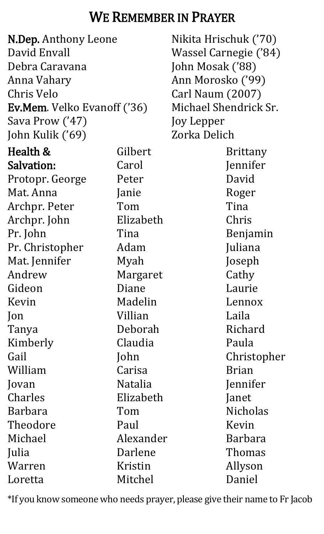#### WE REMEMBER IN PRAYER

| <b>N.Dep.</b> Anthony Leone        |           | Nikit  |
|------------------------------------|-----------|--------|
| David Envall                       |           | Wass   |
| Debra Caravana                     |           | John   |
| Anna Vahary                        |           | Ann I  |
| Chris Velo                         |           | Carl I |
| <b>Ev.Mem.</b> Velko Evanoff ('36) |           | Micha  |
| Sava Prow ('47)                    |           | Joy L  |
| John Kulik ('69)                   |           | Zorka  |
| Health &                           | Gilbert   |        |
| Salvation:                         | Carol     |        |
| Protopr. George                    | Peter     |        |
| Mat. Anna                          | Janie     |        |
| Archpr. Peter                      | Tom       |        |
| Archpr. John                       | Elizabeth |        |
| Pr. John                           | Tina      |        |
| Pr. Christopher                    | Adam      |        |
| Mat. Jennifer                      | Myah      |        |
| Andrew                             | Margaret  |        |
| Gideon                             | Diane     |        |
| Kevin                              | Madelin   |        |
| $\mathsf{lon}$                     | Villian   |        |
| Tanya                              | Deborah   |        |
| Kimberly                           | Claudia   |        |
| Gail                               | John      |        |
| William                            | Carisa    |        |
| Jovan                              | Natalia   |        |
| Charles                            | Elizabeth |        |
| <b>Barbara</b>                     | Tom       |        |
| Theodore                           | Paul      |        |
| Michael                            | Alexander |        |
| Julia                              | Darlene   |        |
| Warren                             | Kristin   |        |
| Loretta                            | Mitchel   |        |

a Hrischuk ('70) el Carnegie ('84) Mosak ('88) Morosko ('99) Naum (2007) ael Shendrick Sr. epper a Delich Brittany Jennifer David Roger Tina Chris Benjamin Juliana Joseph Cathy Laurie Lennox Laila Richard Paula Christopher Brian Jennifer Janet Nicholas Kevin Barbara Thomas Allyson Daniel

\*If you know someone who needs prayer, please give their name to Fr Jacob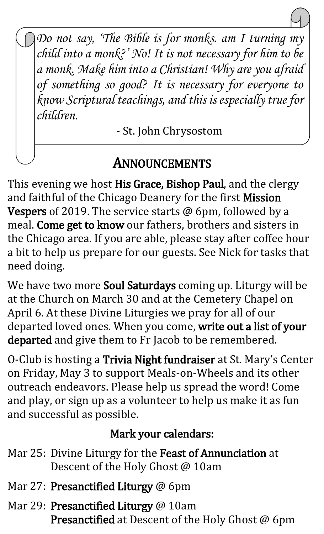*Do not say, 'The Bible is for monks. am I turning my child into a monk?' No! It is not necessary for him to be a monk. Make him into a Christian! Why are you afraid of something so good? It is necessary for everyone to know Scriptural teachings, and this is especially true for children.*

- St. John Chrysostom

#### ANNOUNCEMENTS

 $\overline{a}$ 

This evening we host His Grace, Bishop Paul, and the clergy and faithful of the Chicago Deanery for the first Mission Vespers of 2019. The service starts @ 6pm, followed by a meal. Come get to know our fathers, brothers and sisters in the Chicago area. If you are able, please stay after coffee hour a bit to help us prepare for our guests. See Nick for tasks that need doing.

We have two more Soul Saturdays coming up. Liturgy will be at the Church on March 30 and at the Cemetery Chapel on April 6. At these Divine Liturgies we pray for all of our departed loved ones. When you come, write out a list of your departed and give them to Fr Jacob to be remembered.

O-Club is hosting a Trivia Night fundraiser at St. Mary's Center on Friday, May 3 to support Meals-on-Wheels and its other outreach endeavors. Please help us spread the word! Come and play, or sign up as a volunteer to help us make it as fun and successful as possible.

#### Mark your calendars:

- Mar 25: Divine Liturgy for the Feast of Annunciation at Descent of the Holy Ghost @ 10am
- Mar 27: Presanctified Liturgy @ 6pm
- Mar 29: Presanctified Liturgy @ 10am Presanctified at Descent of the Holy Ghost @ 6pm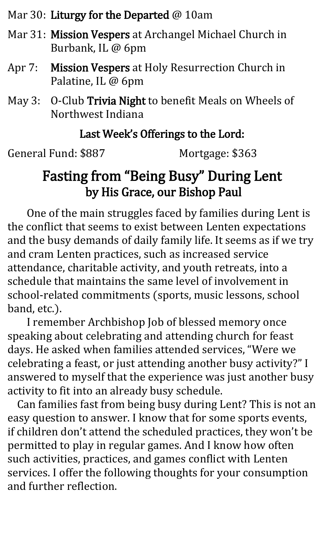Mar 30: Liturgy for the Departed @ 10am

- Mar 31: Mission Vespers at Archangel Michael Church in Burbank, IL @ 6pm
- Apr 7: Mission Vespers at Holy Resurrection Church in Palatine, IL @ 6pm
- May 3: O-Club Trivia Night to benefit Meals on Wheels of Northwest Indiana

#### Last Week's Offerings to the Lord:

General Fund: \$887 Mortgage: \$363

#### Fasting from "Being Busy" During Lent by His Grace, our Bishop Paul

One of the main struggles faced by families during Lent is the conflict that seems to exist between Lenten expectations and the busy demands of daily family life. It seems as if we try and cram Lenten practices, such as increased service attendance, charitable activity, and youth retreats, into a schedule that maintains the same level of involvement in school-related commitments (sports, music lessons, school band, etc.).

I remember Archbishop Job of blessed memory once speaking about celebrating and attending church for feast days. He asked when families attended services, "Were we celebrating a feast, or just attending another busy activity?" I answered to myself that the experience was just another busy activity to fit into an already busy schedule.

Can families fast from being busy during Lent? This is not an easy question to answer. I know that for some sports events, if children don't attend the scheduled practices, they won't be permitted to play in regular games. And I know how often such activities, practices, and games conflict with Lenten services. I offer the following thoughts for your consumption and further reflection.